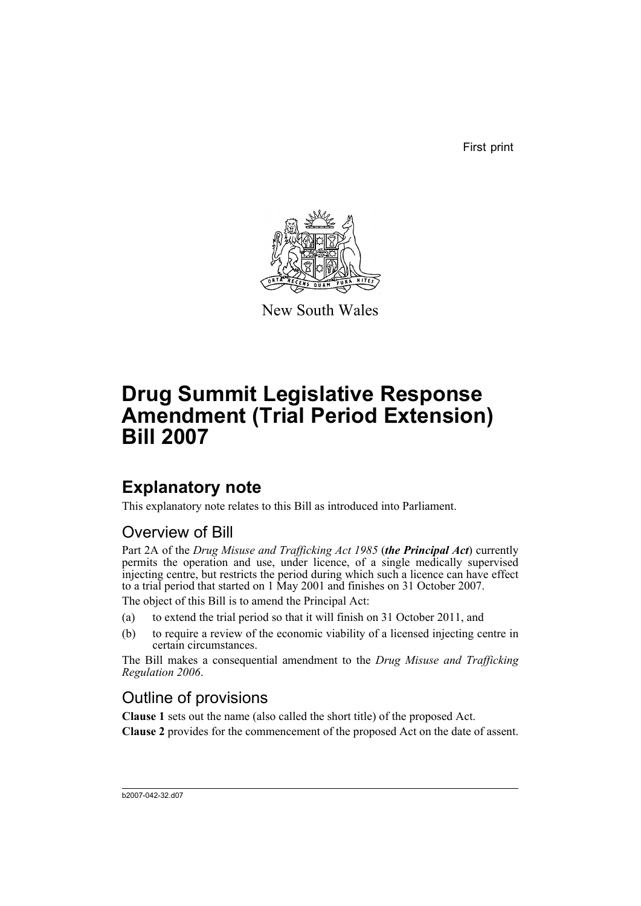First print



New South Wales

# **Drug Summit Legislative Response Amendment (Trial Period Extension) Bill 2007**

## **Explanatory note**

This explanatory note relates to this Bill as introduced into Parliament.

### Overview of Bill

Part 2A of the *Drug Misuse and Trafficking Act 1985* (*the Principal Act*) currently permits the operation and use, under licence, of a single medically supervised injecting centre, but restricts the period during which such a licence can have effect to a trial period that started on 1 May 2001 and finishes on 31 October 2007.

The object of this Bill is to amend the Principal Act:

- (a) to extend the trial period so that it will finish on 31 October 2011, and
- (b) to require a review of the economic viability of a licensed injecting centre in certain circumstances.

The Bill makes a consequential amendment to the *Drug Misuse and Trafficking Regulation 2006*.

### Outline of provisions

**Clause 1** sets out the name (also called the short title) of the proposed Act. **Clause 2** provides for the commencement of the proposed Act on the date of assent.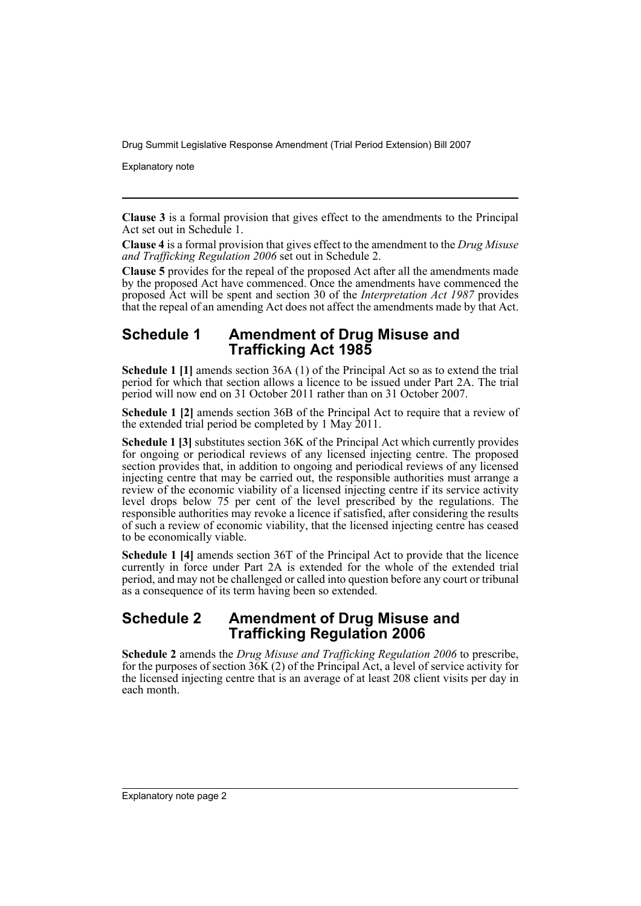Drug Summit Legislative Response Amendment (Trial Period Extension) Bill 2007

Explanatory note

**Clause 3** is a formal provision that gives effect to the amendments to the Principal Act set out in Schedule 1.

**Clause 4** is a formal provision that gives effect to the amendment to the *Drug Misuse and Trafficking Regulation 2006* set out in Schedule 2.

**Clause 5** provides for the repeal of the proposed Act after all the amendments made by the proposed Act have commenced. Once the amendments have commenced the proposed Act will be spent and section 30 of the *Interpretation Act 1987* provides that the repeal of an amending Act does not affect the amendments made by that Act.

#### **Schedule 1 Amendment of Drug Misuse and Trafficking Act 1985**

**Schedule 1 [1]** amends section 36A (1) of the Principal Act so as to extend the trial period for which that section allows a licence to be issued under Part 2A. The trial period will now end on 31 October 2011 rather than on 31 October 2007.

**Schedule 1 [2]** amends section 36B of the Principal Act to require that a review of the extended trial period be completed by 1 May 2011.

**Schedule 1 [3]** substitutes section 36K of the Principal Act which currently provides for ongoing or periodical reviews of any licensed injecting centre. The proposed section provides that, in addition to ongoing and periodical reviews of any licensed injecting centre that may be carried out, the responsible authorities must arrange a review of the economic viability of a licensed injecting centre if its service activity level drops below 75 per cent of the level prescribed by the regulations. The responsible authorities may revoke a licence if satisfied, after considering the results of such a review of economic viability, that the licensed injecting centre has ceased to be economically viable.

**Schedule 1 [4]** amends section 36T of the Principal Act to provide that the licence currently in force under Part 2A is extended for the whole of the extended trial period, and may not be challenged or called into question before any court or tribunal as a consequence of its term having been so extended.

### **Schedule 2 Amendment of Drug Misuse and Trafficking Regulation 2006**

**Schedule 2** amends the *Drug Misuse and Trafficking Regulation 2006* to prescribe, for the purposes of section  $36K(2)$  of the Principal Act, a level of service activity for the licensed injecting centre that is an average of at least 208 client visits per day in each month.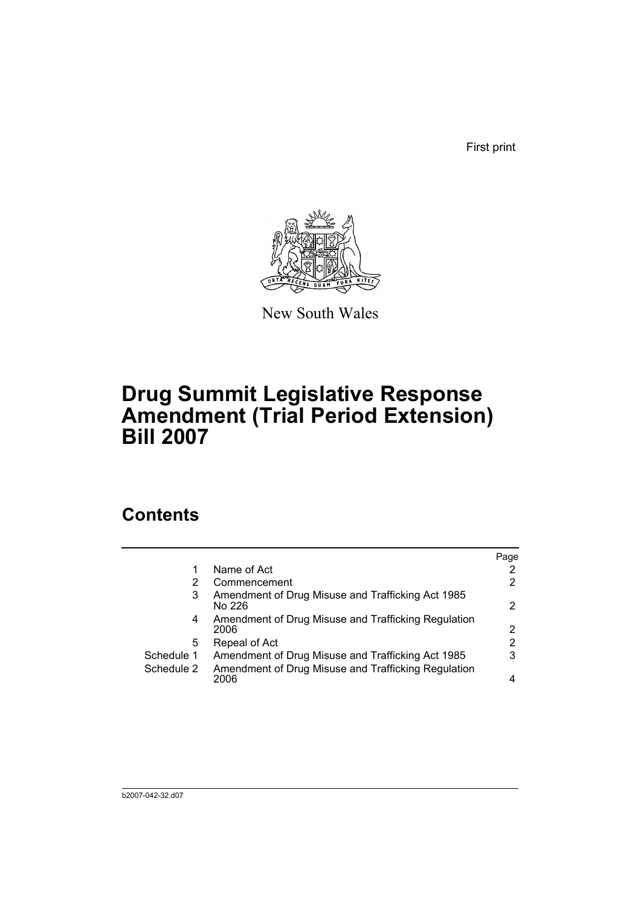First print



New South Wales

# **Drug Summit Legislative Response Amendment (Trial Period Extension) Bill 2007**

### **Contents**

|            |                                                             | Page |
|------------|-------------------------------------------------------------|------|
|            | Name of Act                                                 |      |
| 2          | Commencement                                                | 2    |
| 3          | Amendment of Drug Misuse and Trafficking Act 1985<br>No 226 | 2    |
| 4          | Amendment of Drug Misuse and Trafficking Regulation<br>2006 | 2    |
| 5          | Repeal of Act                                               | 2    |
| Schedule 1 | Amendment of Drug Misuse and Trafficking Act 1985           | 3    |
| Schedule 2 | Amendment of Drug Misuse and Trafficking Regulation<br>2006 | 4    |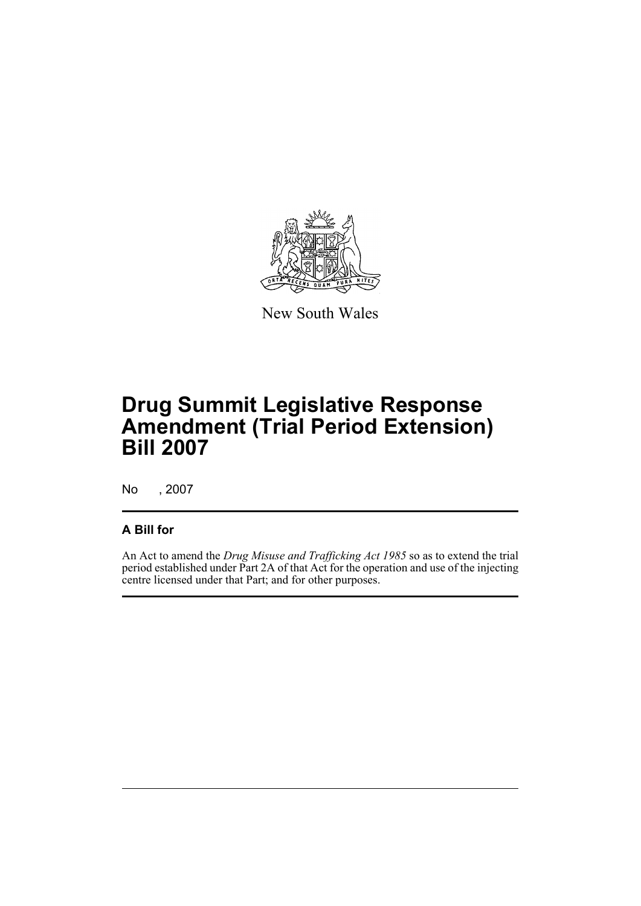

New South Wales

# **Drug Summit Legislative Response Amendment (Trial Period Extension) Bill 2007**

No , 2007

#### **A Bill for**

An Act to amend the *Drug Misuse and Trafficking Act 1985* so as to extend the trial period established under Part 2A of that Act for the operation and use of the injecting centre licensed under that Part; and for other purposes.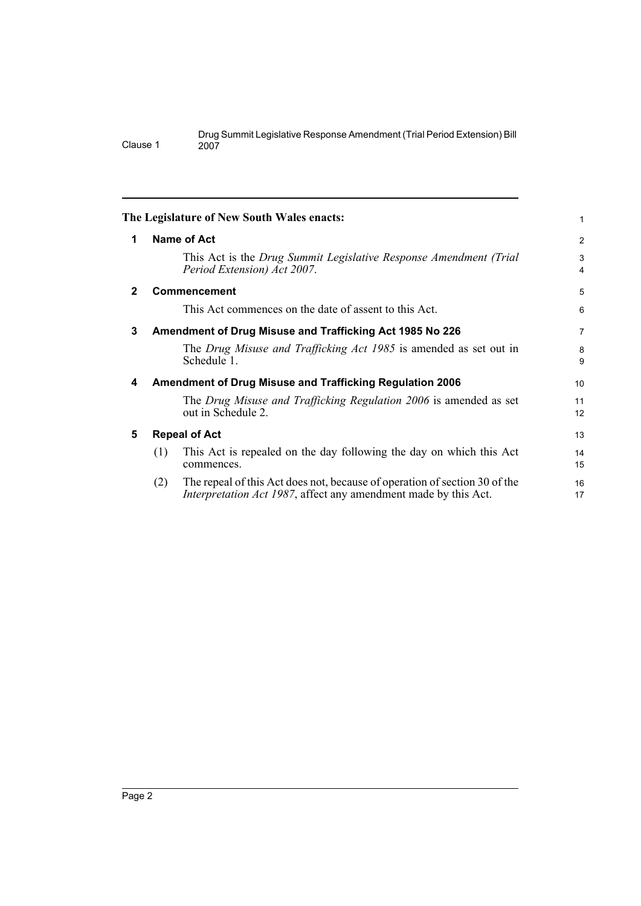<span id="page-5-4"></span><span id="page-5-3"></span><span id="page-5-2"></span><span id="page-5-1"></span><span id="page-5-0"></span>

|              |                                                                 | The Legislature of New South Wales enacts:                                                                                                            | 1        |  |  |
|--------------|-----------------------------------------------------------------|-------------------------------------------------------------------------------------------------------------------------------------------------------|----------|--|--|
| 1            | Name of Act                                                     |                                                                                                                                                       |          |  |  |
|              |                                                                 | This Act is the Drug Summit Legislative Response Amendment (Trial<br>Period Extension) Act 2007.                                                      | 3<br>4   |  |  |
| $\mathbf{2}$ |                                                                 | <b>Commencement</b>                                                                                                                                   | 5        |  |  |
|              |                                                                 | This Act commences on the date of assent to this Act.                                                                                                 | 6        |  |  |
| 3            |                                                                 | Amendment of Drug Misuse and Trafficking Act 1985 No 226                                                                                              |          |  |  |
|              |                                                                 | The Drug Misuse and Trafficking Act 1985 is amended as set out in<br>Schedule 1.                                                                      | 8<br>9   |  |  |
| 4            | <b>Amendment of Drug Misuse and Trafficking Regulation 2006</b> |                                                                                                                                                       |          |  |  |
|              |                                                                 | The Drug Misuse and Trafficking Regulation 2006 is amended as set<br>out in Schedule 2.                                                               | 11<br>12 |  |  |
| 5            | <b>Repeal of Act</b>                                            |                                                                                                                                                       |          |  |  |
|              | (1)                                                             | This Act is repealed on the day following the day on which this Act<br>commences.                                                                     | 14<br>15 |  |  |
|              | (2)                                                             | The repeal of this Act does not, because of operation of section 30 of the<br><i>Interpretation Act 1987</i> , affect any amendment made by this Act. | 16<br>17 |  |  |
|              |                                                                 |                                                                                                                                                       |          |  |  |

Clause 1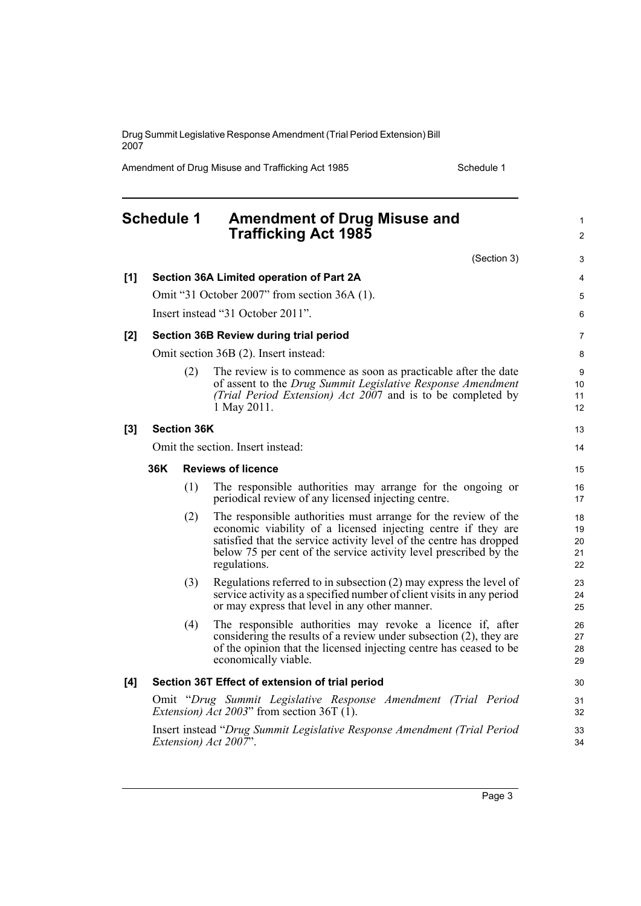Drug Summit Legislative Response Amendment (Trial Period Extension) Bill 2007

Amendment of Drug Misuse and Trafficking Act 1985 Schedule 1

<span id="page-6-0"></span>

|       | <b>Schedule 1</b>                                                                                                    |                    | <b>Amendment of Drug Misuse and</b><br><b>Trafficking Act 1985</b>                                                                                                                                                                                                                          | $\mathbf{1}$<br>$\overline{2}$ |
|-------|----------------------------------------------------------------------------------------------------------------------|--------------------|---------------------------------------------------------------------------------------------------------------------------------------------------------------------------------------------------------------------------------------------------------------------------------------------|--------------------------------|
|       |                                                                                                                      |                    | (Section 3)                                                                                                                                                                                                                                                                                 | 3                              |
| [1]   |                                                                                                                      |                    | Section 36A Limited operation of Part 2A                                                                                                                                                                                                                                                    | 4                              |
|       |                                                                                                                      |                    | Omit "31 October 2007" from section 36A (1).                                                                                                                                                                                                                                                | 5                              |
|       |                                                                                                                      |                    | Insert instead "31 October 2011".                                                                                                                                                                                                                                                           | 6                              |
| $[2]$ |                                                                                                                      |                    | Section 36B Review during trial period                                                                                                                                                                                                                                                      | 7                              |
|       |                                                                                                                      |                    | Omit section 36B (2). Insert instead:                                                                                                                                                                                                                                                       | 8                              |
|       |                                                                                                                      | (2)                | The review is to commence as soon as practicable after the date<br>of assent to the Drug Summit Legislative Response Amendment<br>(Trial Period Extension) Act 2007 and is to be completed by<br>1 May 2011.                                                                                | 9<br>10<br>11<br>12            |
| $[3]$ |                                                                                                                      | <b>Section 36K</b> |                                                                                                                                                                                                                                                                                             | 13                             |
|       |                                                                                                                      |                    | Omit the section. Insert instead:                                                                                                                                                                                                                                                           | 14                             |
|       | 36K                                                                                                                  |                    | <b>Reviews of licence</b>                                                                                                                                                                                                                                                                   | 15                             |
|       |                                                                                                                      | (1)                | The responsible authorities may arrange for the ongoing or<br>periodical review of any licensed injecting centre.                                                                                                                                                                           | 16<br>17                       |
|       |                                                                                                                      | (2)                | The responsible authorities must arrange for the review of the<br>economic viability of a licensed injecting centre if they are<br>satisfied that the service activity level of the centre has dropped<br>below 75 per cent of the service activity level prescribed by the<br>regulations. | 18<br>19<br>20<br>21<br>22     |
|       |                                                                                                                      | (3)                | Regulations referred to in subsection (2) may express the level of<br>service activity as a specified number of client visits in any period<br>or may express that level in any other manner.                                                                                               | 23<br>24<br>25                 |
|       |                                                                                                                      | (4)                | The responsible authorities may revoke a licence if, after<br>considering the results of a review under subsection (2), they are<br>of the opinion that the licensed injecting centre has ceased to be<br>economically viable.                                                              | 26<br>27<br>28<br>29           |
| [4]   |                                                                                                                      |                    | Section 36T Effect of extension of trial period                                                                                                                                                                                                                                             | 30                             |
|       | Omit "Drug Summit Legislative Response Amendment (Trial Period<br><i>Extension) Act 2003</i> " from section 36T (1). |                    |                                                                                                                                                                                                                                                                                             | 31<br>32                       |
|       |                                                                                                                      |                    | Insert instead "Drug Summit Legislative Response Amendment (Trial Period<br>Extension) Act 2007".                                                                                                                                                                                           | 33<br>34                       |